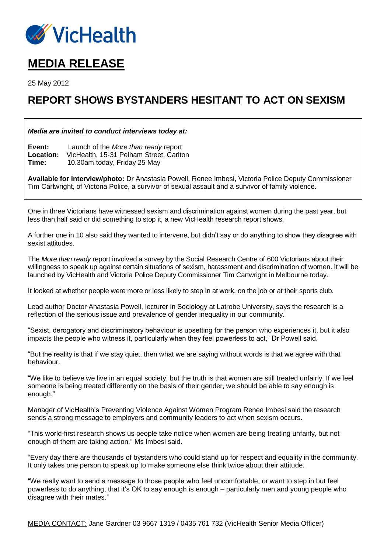

# **MEDIA RELEASE**

25 May 2012

## **REPORT SHOWS BYSTANDERS HESITANT TO ACT ON SEXISM**

### *Media are invited to conduct interviews today at:*

**Event:** Launch of the *More than ready* report **Location:** VicHealth, 15-31 Pelham Street, Carlton **Time:** 10.30am today, Friday 25 May

**Available for interview/photo:** Dr Anastasia Powell, Renee Imbesi, Victoria Police Deputy Commissioner Tim Cartwright, of Victoria Police, a survivor of sexual assault and a survivor of family violence.

One in three Victorians have witnessed sexism and discrimination against women during the past year, but less than half said or did something to stop it, a new VicHealth research report shows.

A further one in 10 also said they wanted to intervene, but didn't say or do anything to show they disagree with sexist attitudes.

The *More than ready* report involved a survey by the Social Research Centre of 600 Victorians about their willingness to speak up against certain situations of sexism, harassment and discrimination of women. It will be launched by VicHealth and Victoria Police Deputy Commissioner Tim Cartwright in Melbourne today.

It looked at whether people were more or less likely to step in at work, on the job or at their sports club.

Lead author Doctor Anastasia Powell, lecturer in Sociology at Latrobe University, says the research is a reflection of the serious issue and prevalence of gender inequality in our community.

"Sexist, derogatory and discriminatory behaviour is upsetting for the person who experiences it, but it also impacts the people who witness it, particularly when they feel powerless to act," Dr Powell said.

"But the reality is that if we stay quiet, then what we are saying without words is that we agree with that behaviour.

"We like to believe we live in an equal society, but the truth is that women are still treated unfairly. If we feel someone is being treated differently on the basis of their gender, we should be able to say enough is enough."

Manager of VicHealth's Preventing Violence Against Women Program Renee Imbesi said the research sends a strong message to employers and community leaders to act when sexism occurs.

"This world-first research shows us people take notice when women are being treating unfairly, but not enough of them are taking action," Ms Imbesi said.

"Every day there are thousands of bystanders who could stand up for respect and equality in the community. It only takes one person to speak up to make someone else think twice about their attitude.

"We really want to send a message to those people who feel uncomfortable, or want to step in but feel powerless to do anything, that it's OK to say enough is enough – particularly men and young people who disagree with their mates."